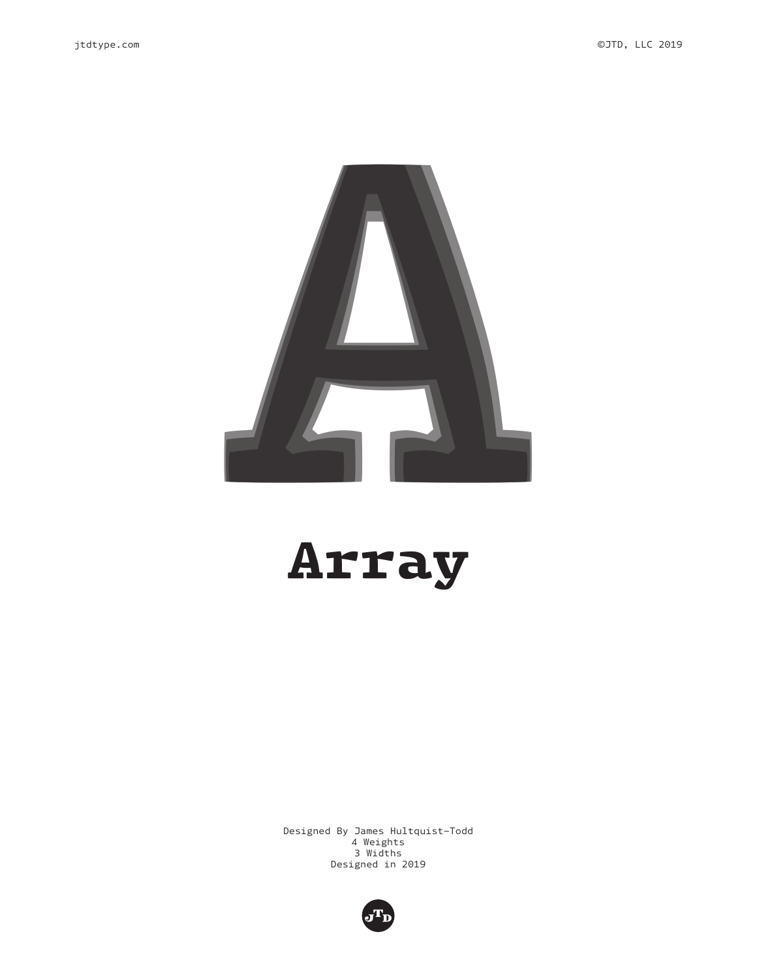

## Array

Designed By James Hultquist-Todd 4 Weights 3 Widths Designed in 2019

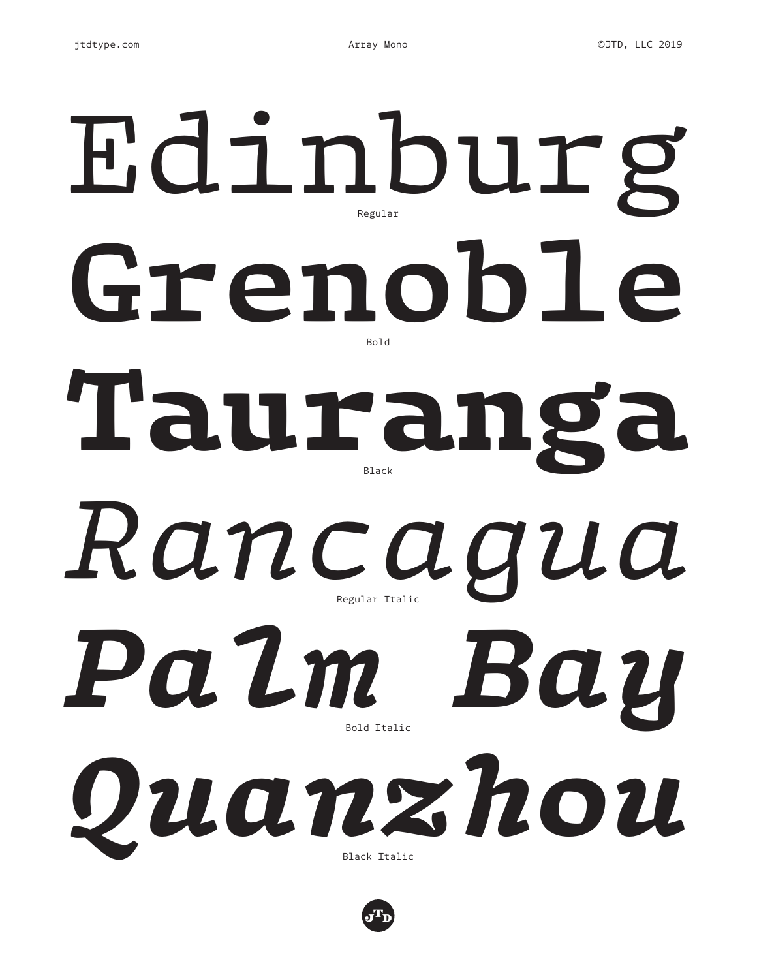## **Grenoble** Edinburg Tauranga *Palm Bay Rancagua Quanzhou* Regular Bold Black Regular Italic Bold Italic Black Italic

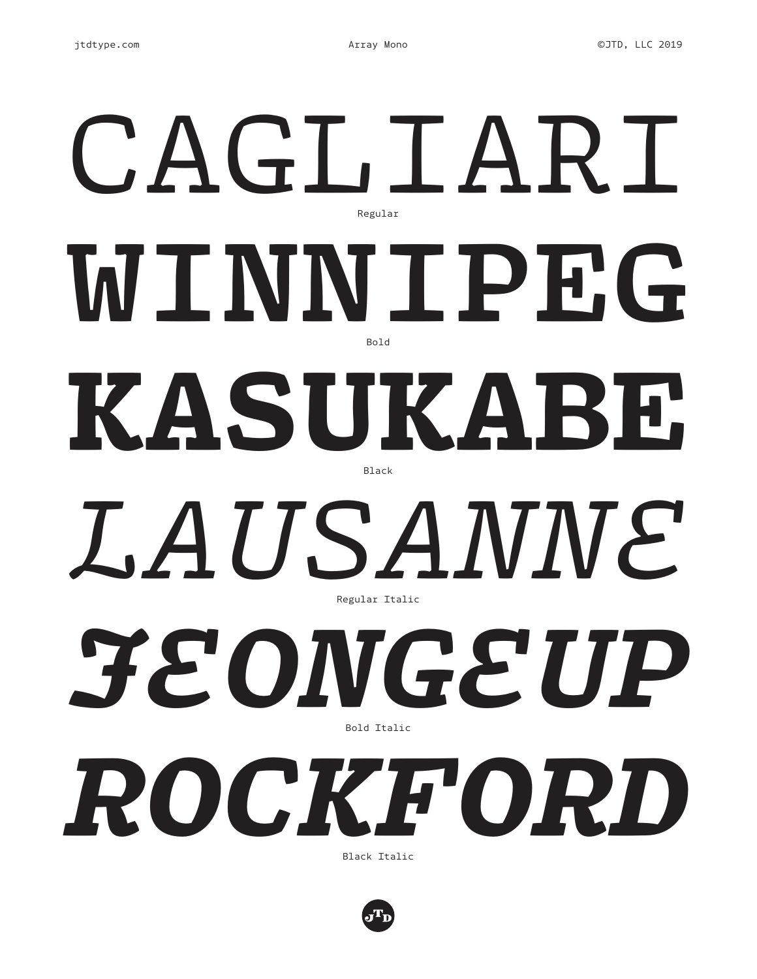## **WINNIPEG** CAGLIARI KASUKABE *JEONGEUP LAUSANNE ROCKFORD* Regular Bold Black Regular Italic Bold Italic Black Italic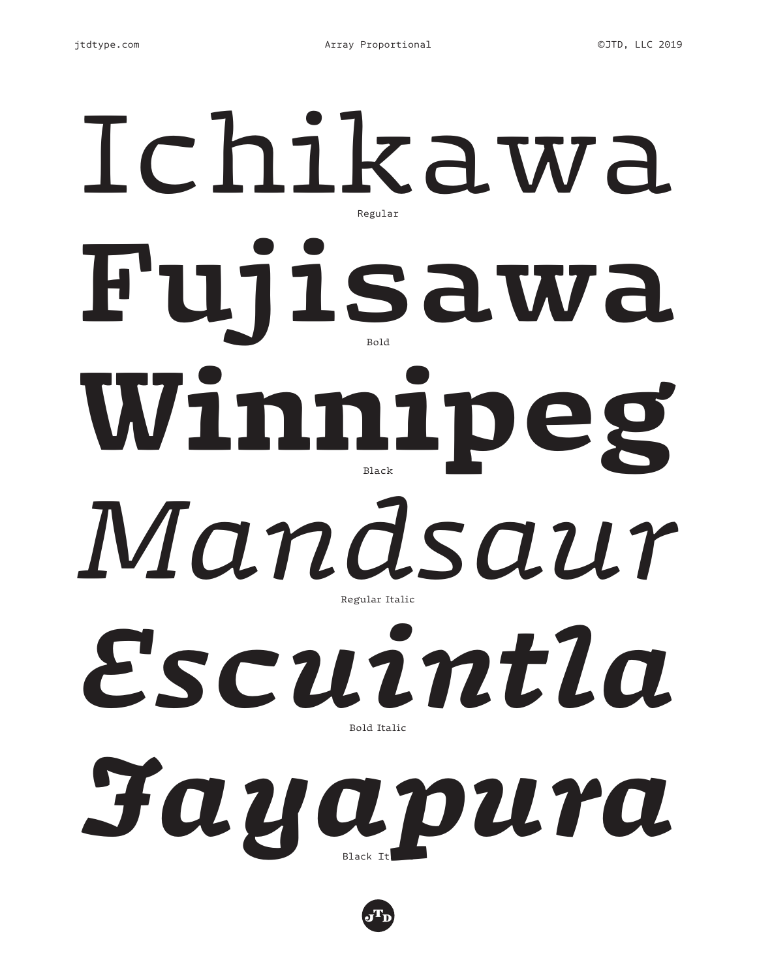# **Fujisawa** Ichikawa Winnipeg *Escuintla Mandsaur* Regular Bold Regular Italic Bold Italic

*Jayapura* Black It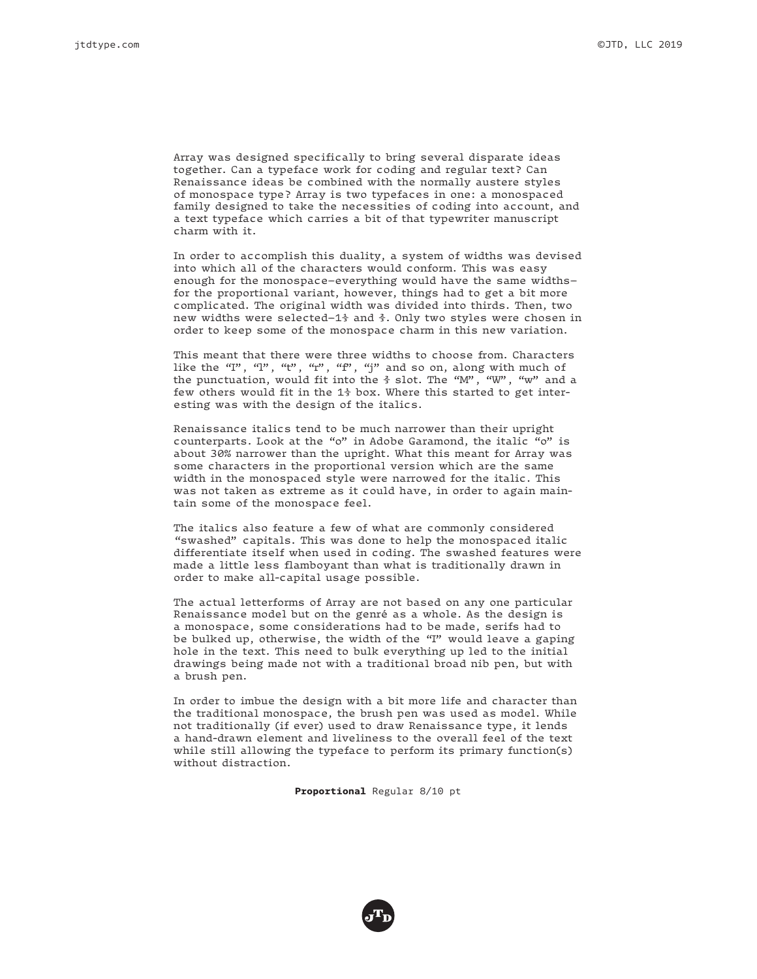Array was designed specifically to bring several disparate ideas together. Can a typeface work for coding and regular text? Can Renaissance ideas be combined with the normally austere styles of monospace type? Array is two typefaces in one: a monospaced family designed to take the necessities of coding into account, and a text typeface which carries a bit of that typewriter manuscript charm with it.

In order to accomplish this duality, a system of widths was devised into which all of the characters would conform. This was easy enough for the monospace—everything would have the same widths for the proportional variant, however, things had to get a bit more complicated. The original width was divided into thirds. Then, two new widths were selected—1⅓ and ⅔. Only two styles were chosen in order to keep some of the monospace charm in this new variation.

This meant that there were three widths to choose from. Characters like the "I", "1", "t", "f", "f", "j" and so on, along with much of the punctuation, would fit into the ⅔ slot. The "M", "W", "w" and a few others would fit in the 1⅓ box. Where this started to get interesting was with the design of the italics.

Renaissance italics tend to be much narrower than their upright counterparts. Look at the "o" in Adobe Garamond, the italic "o" is about 30% narrower than the upright. What this meant for Array was some characters in the proportional version which are the same width in the monospaced style were narrowed for the italic. This was not taken as extreme as it could have, in order to again maintain some of the monospace feel.

The italics also feature a few of what are commonly considered "swashed" capitals. This was done to help the monospaced italic differentiate itself when used in coding. The swashed features were made a little less flamboyant than what is traditionally drawn in order to make all-capital usage possible.

The actual letterforms of Array are not based on any one particular Renaissance model but on the genré as a whole. As the design is a monospace, some considerations had to be made, serifs had to be bulked up, otherwise, the width of the "I" would leave a gaping hole in the text. This need to bulk everything up led to the initial drawings being made not with a traditional broad nib pen, but with a brush pen.

In order to imbue the design with a bit more life and character than the traditional monospace, the brush pen was used as model. While not traditionally (if ever) used to draw Renaissance type, it lends a hand-drawn element and liveliness to the overall feel of the text while still allowing the typeface to perform its primary function(s) without distraction.

**Proportional** Regular 8/10 pt

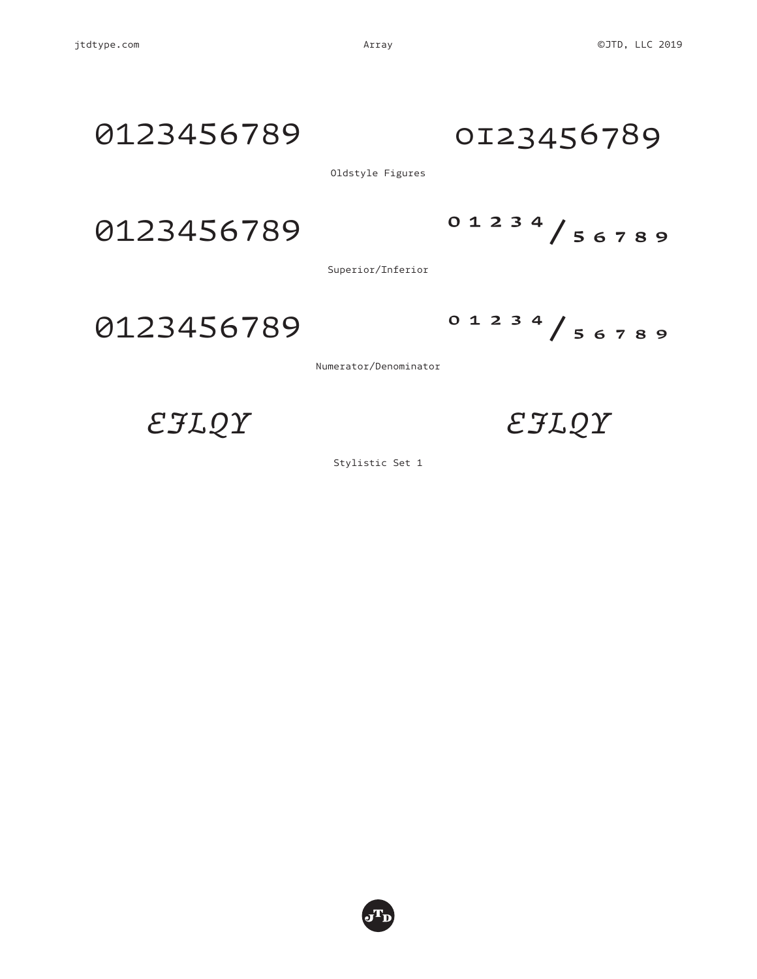## 0123456789 0123456789

Oldstyle Figures

0123456789 01234/56789

Superior/Inferior

0123456789 01234/56789

Numerator/Denominator

*EJLQY EJLQY*

Stylistic Set 1

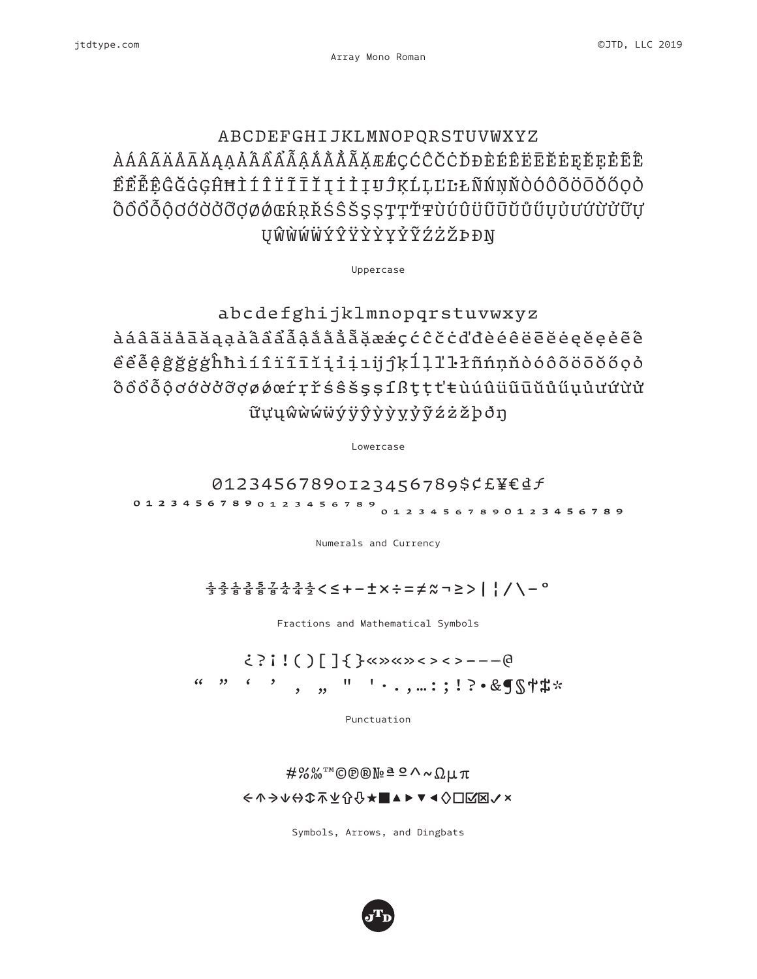## ABCDEFGHIJKLMNOPQRSTUVWXYZ ÀÁÂÃÄÅĀĂĄẠẢẤẦẨẪẬẮẰẲẴẶÆǼÇĆĈČĊĎĐÈÉÊËĒĔĖĘĚẸẺẼẾ ỀỂỄỆĜĞĠĢĤĦÌÍÎÏĨĪĬĮİỈỊIJĴĶĹĻĽĿŁÑŃŅŇÒÓÔÕÖŌŎŐỌỎ ÔÔÔÔÔƠƠỞỞƠØØŒŔRŘŚŜŠSSTTŤŦÙÚÛÜŨŪŬŮŰŬŬŬŬŨŬ ŲŴẀẂẄÝŶŸỲỲỴỶỸŹŻŽÞÐŊ

Uppercase

abcdefghijklmnopqrstuvwxyz àáâãäåāăąạảấầẩẫậắằẳẵặæǽçćĉčċďđèéêëēĕėęěẹẻẽế ềểễệĝğġģĥħìíîïĩīĭįỉịıijĵķĺļľŀłñńņňòóôõöōŏőọỏ ốồổỗộơớờởỡợøǿœŕŗřśŝšşșſßţțťŧùúûüũūŭůűụủưứừử ữựųŵẁẃẅýÿŷỳỳỵỷỹźżžþðŋ

Lowercase

01234567890123456789\$¢£¥€₫ƒ

012345678901234����������567890123456789

Numerals and Currency

#### ⅓⅔⅛⅜⅝⅞¼¾½<≤+−±×÷=≠≈¬≥>|¦/\−°

Fractions and Mathematical Symbols

#### ¿?¡!()[]{}«»«»‹›‹›-–—@ " " ' ' ' ' ' ' ' ' ' ' ' ' e &¶§†#\*

Punctuation

#### #%‰™©℗®№ªº^~Ωμπ ←↑→↓↔↕⤒⤓⇧⇩★■▲►▼◄◊☐☑☒✓✗

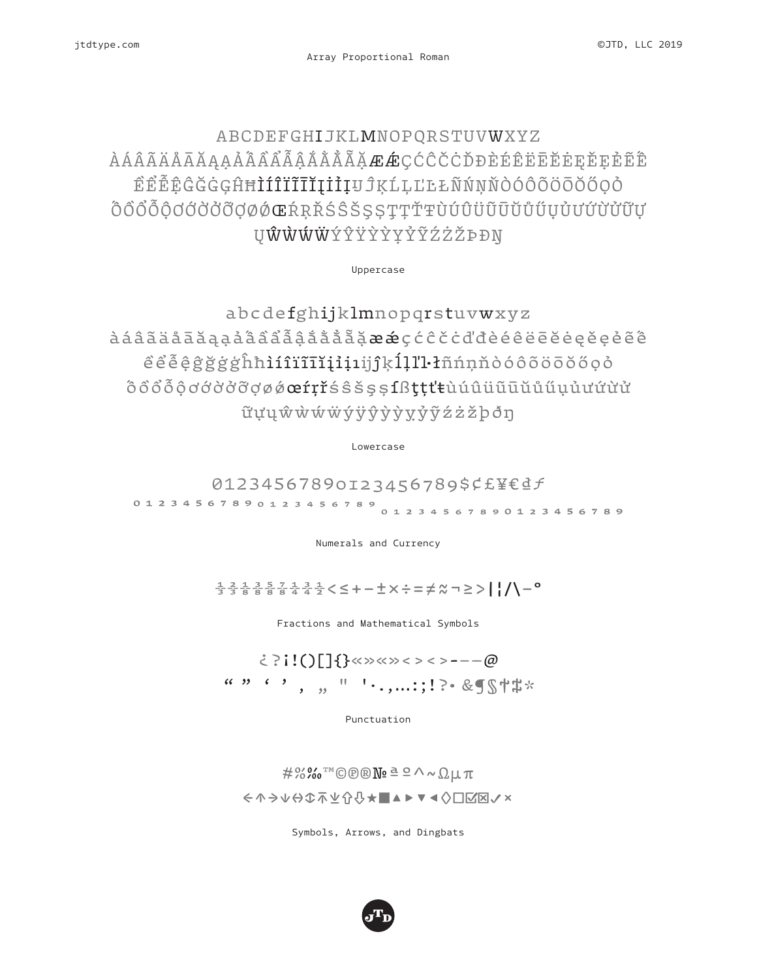### ABCDEFGHIJKLMNOPQRSTUVWXYZ ÀÁÂÃÄÄĀĀĄẠÅÂÂÂÃÃÅĂÅÃ<del>ÃÆÆ</del>ÇĆĈČČĎĐÈÉĒĒĒĒĘĘĔŖĚÊÊ ỀỂỄỆĜĞĠĢĤĦÌÍÎÏĨĪĬĮİỈỊIJĴĶĹĻĽĿŁÑŃŅŇÒÓÔÕÖŌŎŐỌỎ ŐÔŐŐŐŎĊŎŎŎŒŔŖŘŚŜŠSSŢŢŤŦÙÚÛÜŨŨŬŰŰŬŰŬŰŨŬ **UŴŴŴŴ**ÝŶŸŶŶŶŹŻŻ*PĐ*N

Uppercase

abcdefghijklmnopqrstuvwxyz àáâãäåāăąạảấầẩẫậắằẳẵặæǽçćĉčċďđèéêëēĕėęěẹẻẽế ềểễệĝğġģĥħìíîïĩīĭįỉịıijĵķĺļľŀłñńņňòóôõöōŏőọỏ ốồổỗộơớờởỡợøǿœŕŗřśŝšşșſßţțťŧùúûüũūŭůűụủưứừử ữựųŵẁẃẅýÿŷỳỳỵỷỹźżžþðŋ

Lowercase

01234567890123456789\$¢£¥€₫ƒ 01234567890123456789<br>0123456789

Numerals and Currency

⅓⅔⅛⅜⅝⅞¼¾½<≤+−±×÷=≠≈¬≥>|¦/\−°

Fractions and Mathematical Symbols

#### ¿?¡!()[]{}«»«»‹›‹›-–—@ " " ' ' · , ...:;!?• &¶§†#\*

Punctuation

 $\#$ %䪩®®№ªº^~Ωµπ ←↑→↓↔↕⤒⤓⇧⇩★■▲►▼◄◊☐☑☒✓✗

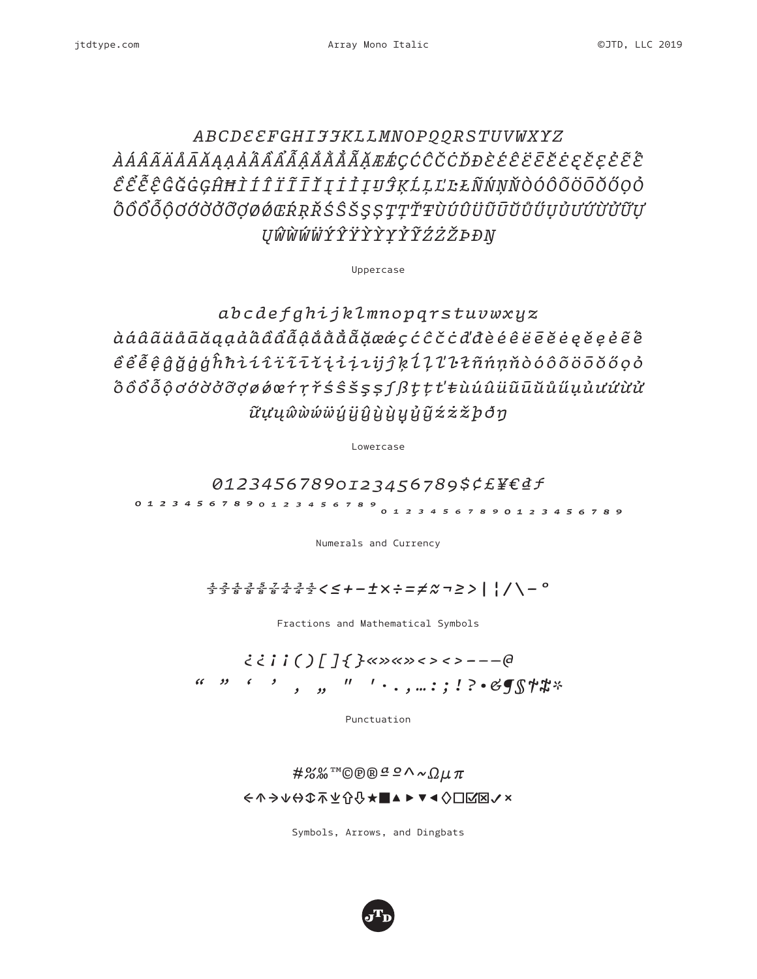### *ABCDEEFGHIJJKLLMNOPQQRSTUVWXYZ ÀÁÂÃÄÅĀĂĄẠẢẤẦẨẪẬẮẰẲẴẶÆǼÇĆĈČĊĎĐÈÉÊËĒĔĖĘĚẸẺẼẾ ỀỂỄỆĜĞĠĢĤĦÌÍÎÏĨĪĬĮİỈỊIJĴĶĹĻĽĿŁÑŃŅŇÒÓÔÕÖŌŎŐỌỎ ỐỒỔỖỘƠỚỜỞỠỢØǾŒŔŖŘŚŜŠŞȘŢȚŤŦÙÚÛÜŨŪŬŮŰỤỦƯỨỪỬỮỰ ŲŴẀẂẄÝŶŸỲỲỴỶỸŹŻŽÞÐŊ*

Uppercase

*abcdefghijklmnopqrstuvwxyz àáâãäåāăąạảấầẩẫậắằẳẵặæǽçćĉčċďđèéêëēĕėęěẹẻẽế ềểễệĝğġģĥħìíîïĩīĭįỉịıijĵķĺļľŀłñńņňòóôõöōŏőọỏ ốồổỗộơớờởỡợøǿœŕŗřśŝšşșſßţțťŧùúûüũūŭůűụủưứừử ữựųŵẁẃẅýÿŷỳỳỵỷỹźżžþðŋ*

Lowercase

*01234567890123456789\$¢£¥€₫ƒ*

*0123456789��������������������0123456789*

Numerals and Currency

#### *⅓⅔⅛⅜⅝⅞¼¾½<≤+−±×÷=≠≈¬≥>|¦/\−°*

Fractions and Mathematical Symbols

### *¿¿¡¡()[]{}«»«»‹›‹›-–—@ " " ' ' ' " " '·.,…:;!?•&¶§†‡\**

Punctuation

#### *#%‰™©℗®ªº^~Ωμπ ←↑→↓↔↕⤒⤓⇧⇩★■▲►▼◄◊☐☑☒✓✗*

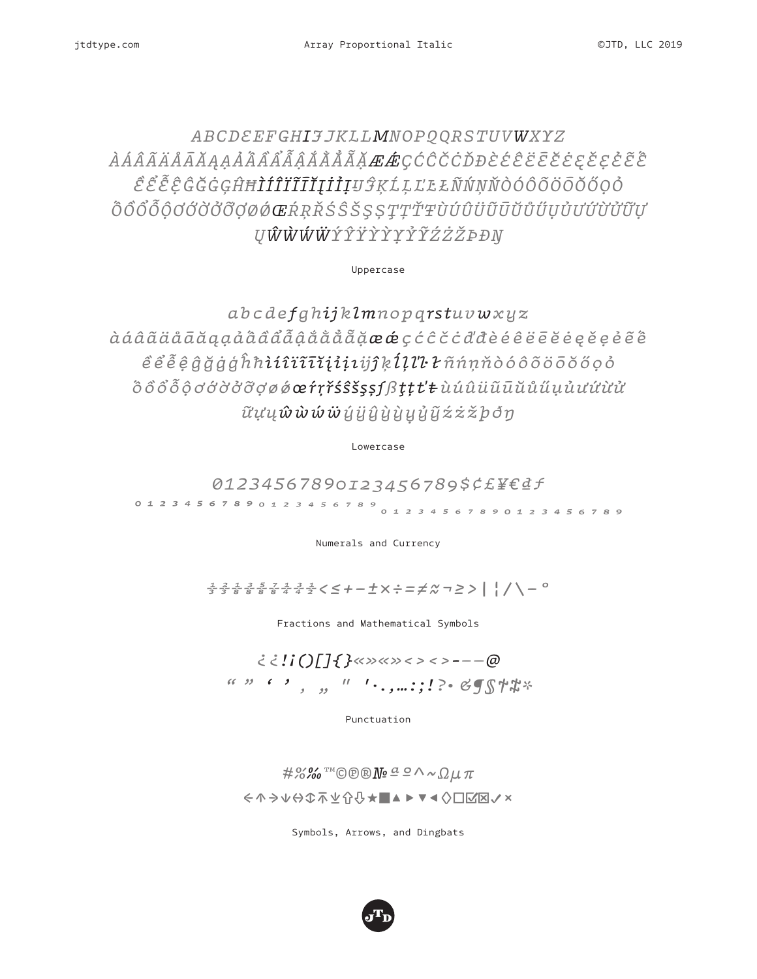## *ABCDEEFGHIJJKLLMNOPQQRSTUVWXYZ ÀÁÂÃÄÅĀĂĄẠẢẤẦẨẪẬẮẰẲẴẶÆǼÇĆĈČĊĎĐÈÉÊËĒĔĖĘĚẸẺẼẾ ỀỂỄỆĜĞĠĢĤĦÌÍÎÏĨĪĬĮİỈỊIJĴĶĹĻĽĿŁÑŃŅŇÒÓÔÕÖŌŎŐỌỎ ỐỒỔỖỘƠỚỜỞỠỢØǾŒŔŖŘŚŜŠŞȘŢȚŤŦÙÚÛÜŨŪŬŮŰỤỦƯỨỪỬỮỰ ŲŴẀẂẄÝŶŸỲỲỴỶỸŹŻŽÞÐŊ*

Uppercase

*abcdefghijklmnopqrstuvwxyz àáâãäåāăąạảấầẩẫậắằẳẵặæǽçćĉčċďđèéêëēĕėęěẹẻẽế ềểễệĝğġģĥħìíîïĩīĭįỉịıijĵķĺļľŀłñńņňòóôõöōŏőọỏ ốồổỗộơớờởỡợøǿœŕŗřśŝšşșſßţțťŧùúûüũūŭůűụủưứừử ữựųŵẁẃẅýÿŷỳỳỵỷỹźżžþðŋ*

Lowercase

*01234567890123456789\$¢£¥€₫ƒ*

*0123456789��������������������0123456789*

Numerals and Currency

*⅓⅔⅛⅜⅝⅞¼¾½<≤+−±×÷=≠≈¬≥>|¦/\−°*

Fractions and Mathematical Symbols

#### *¿¿!¡()[]{}«»«»‹›‹›-–—@* (c )) c ) , , , l l . , , ...; ! ? - BJS中常\*

Punctuation

*#%‰™©℗®№ªº^~Ωμπ ←↑→↓↔↕⤒⤓⇧⇩★■▲►▼◄◊☐☑☒✓✗*

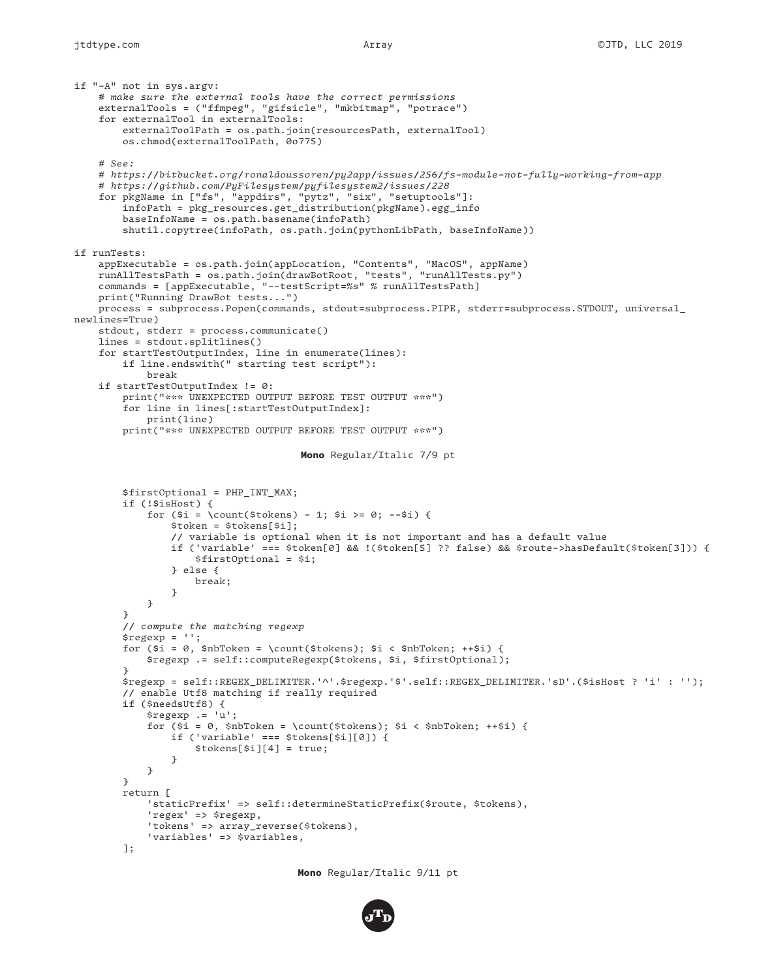```
Mono Regular/Italic 7/9 pt
if "-A" not in sys.argv:
     # make sure the external tools have the correct permissions
     externalTools = ("ffmpeg", "gifsicle", "mkbitmap", "potrace")
     for externalTool in externalTools:
         externalToolPath = os.path.join(resourcesPath, externalTool)
        os.chmod(externalToolPath, 0o775)
     # See:
     # https://bitbucket.org/ronaldoussoren/py2app/issues/256/fs-module-not-fully-working-from-app
     # https://github.com/PyFilesystem/pyfilesystem2/issues/228
     for pkgName in ["fs", "appdirs", "pytz", "six", "setuptools"]:
         infoPath = pkg_resources.get_distribution(pkgName).egg_info
        baseInfoName = os.path.basename(infoPath)
         shutil.copytree(infoPath, os.path.join(pythonLibPath, baseInfoName))
if runTests:
 appExecutable = os.path.join(appLocation, "Contents", "MacOS", appName)
 runAllTestsPath = os.path.join(drawBotRoot, "tests", "runAllTests.py")
     commands = [appExecutable, "--testScript=%s" % runAllTestsPath]
     print("Running DrawBot tests...")
     process = subprocess.Popen(commands, stdout=subprocess.PIPE, stderr=subprocess.STDOUT, universal_
newlines=True)
     stdout, stderr = process.communicate()
     lines = stdout.splitlines()
     for startTestOutputIndex, line in enumerate(lines):
         if line.endswith(" starting test script"):
             break
     if startTestOutputIndex != 0:
         print("*** UNEXPECTED OUTPUT BEFORE TEST OUTPUT ***")
         for line in lines[:startTestOutputIndex]:
             print(line)
         print("*** UNEXPECTED OUTPUT BEFORE TEST OUTPUT ***")
         $firstOptional = PHP_INT_MAX;
        if (!$isHost) {
            for (\pm i = \count(\text{stokes}) - 1; \pm i = 0; -\pm i) $token = $tokens[$i];
                 // variable is optional when it is not important and has a default value
                 if ('variable' === $token[0] && !($token[5] ?? false) && $route->hasDefault($token[3])) {
                     $firstOptional = $i;
                 } else {
                     break;
}<br>}<br>}
}
         }
         // compute the matching regexp
         $regexp = '';
         for ($i = 0, $nbToken = \count($tokens); $i < $nbToken; ++$i) {
             $regexp .= self::computeRegexp($tokens, $i, $firstOptional);
 }
         $regexp = self::REGEX_DELIMITER.'^'.$regexp.'$'.self::REGEX_DELIMITER.'sD'.($isHost ? 'i' : '');
         // enable Utf8 matching if really required
         if ($needsUtf8) {
             $regexp .= 'u';
             for ($i = 0, $nbToken = \count($tokens); $i < $nbToken; ++$i) {
                 if ('variable' === $tokens[$i][0]) {
                     $tokens[$i][4] = true;
}<br>}<br>}
}
         }
        return [
             'staticPrefix' => self::determineStaticPrefix($route, $tokens),
             'regex' => $regexp,
             'tokens' => array_reverse($tokens),
             'variables' => $variables,
         ];
```
**Mono** Regular/Italic 9/11 pt

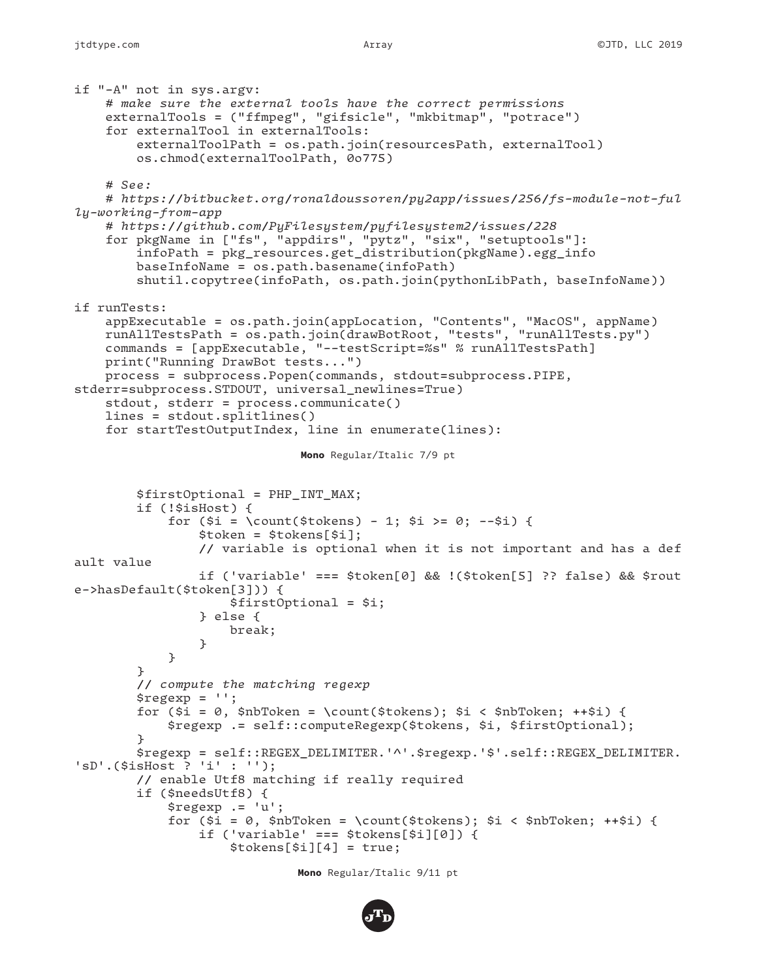```
Mono Regular/Italic 7/9 pt
if "-A" not in sys.argv:
     # make sure the external tools have the correct permissions
     externalTools = ("ffmpeg", "gifsicle", "mkbitmap", "potrace")
     for externalTool in externalTools:
         externalToolPath = os.path.join(resourcesPath, externalTool)
         os.chmod(externalToolPath, 0o775)
     # See:
     # https://bitbucket.org/ronaldoussoren/py2app/issues/256/fs-module-not-ful
ly-working-from-app
     # https://github.com/PyFilesystem/pyfilesystem2/issues/228
     for pkgName in ["fs", "appdirs", "pytz", "six", "setuptools"]:
         infoPath = pkg_resources.get_distribution(pkgName).egg_info
         baseInfoName = os.path.basename(infoPath)
         shutil.copytree(infoPath, os.path.join(pythonLibPath, baseInfoName))
if runTests:
 appExecutable = os.path.join(appLocation, "Contents", "MacOS", appName)
 runAllTestsPath = os.path.join(drawBotRoot, "tests", "runAllTests.py")
     commands = [appExecutable, "--testScript=%s" % runAllTestsPath]
    print("Running DrawBot tests...")
    process = subprocess.Popen(commands, stdout=subprocess.PIPE, 
stderr=subprocess.STDOUT, universal_newlines=True)
     stdout, stderr = process.communicate()
     lines = stdout.splitlines()
     for startTestOutputIndex, line in enumerate(lines):
         $firstOptional = PHP_INT_MAX;
         if (!$isHost) {
            for (\xi i = \count(\xi to kens) - 1; \xi i \ge 0; -\xi i) $token = $tokens[$i];
                 // variable is optional when it is not important and has a def
ault value
                 if ('variable' === $token[0] && !($token[5] ?? false) && $rout
e->hasDefault($token[3])) {
                     $firstOptional = $i;
                 } else {
                     break;
}<br>}
 }
 }
         // compute the matching regexp
         $regexp = '';
         for ($i = 0, $nbToken = \count($tokens); $i < $nbToken; ++$i) {
             $regexp .= self::computeRegexp($tokens, $i, $firstOptional);
         }
         $regexp = self::REGEX_DELIMITER.'^'.$regexp.'$'.self::REGEX_DELIMITER.
'sD'.($isHost ? 'i' : '');
         // enable Utf8 matching if really required
         if ($needsUtf8) {
             $regexp .= 'u';
             for ($i = 0, $nbToken = \count($tokens); $i < $nbToken; ++$i) {
                 if ('variable' === $tokens[$i][0]) {
                     $tokens[$i][4] = true;
```
**Mono** Regular/Italic 9/11 pt

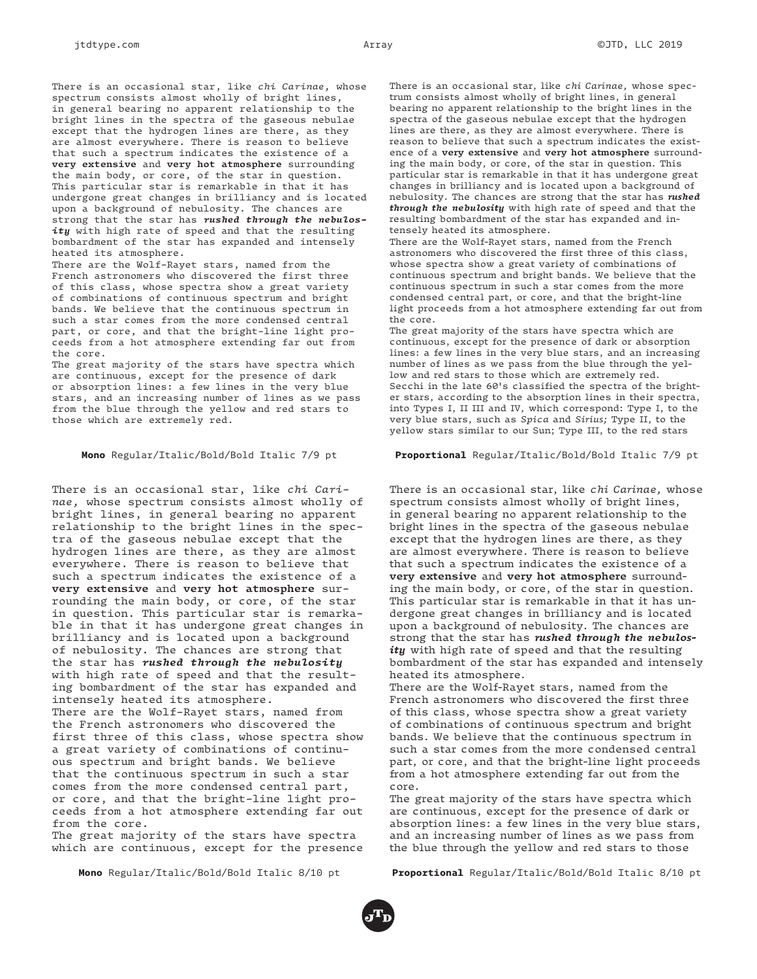There is an occasional star, like *chi Carinae,* whose spectrum consists almost wholly of bright lines, in general bearing no apparent relationship to the bright lines in the spectra of the gaseous nebulae except that the hydrogen lines are there, as they are almost everywhere. There is reason to believe that such a spectrum indicates the existence of a **very extensive** and **very hot atmosphere** surrounding the main body, or core, of the star in question. This particular star is remarkable in that it has undergone great changes in brilliancy and is located upon a background of nebulosity. The chances are strong that the star has *rushed through the nebulosity* with high rate of speed and that the resulting bombardment of the star has expanded and intensely heated its atmosphere.

There are the Wolf-Rayet stars, named from the French astronomers who discovered the first three of this class, whose spectra show a great variety of combinations of continuous spectrum and bright bands. We believe that the continuous spectrum in such a star comes from the more condensed central part, or core, and that the bright-line light proceeds from a hot atmosphere extending far out from the core.

The great majority of the stars have spectra which are continuous, except for the presence of dark or absorption lines: a few lines in the very blue stars, and an increasing number of lines as we pass from the blue through the yellow and red stars to those which are extremely red.

#### **Mono** Regular/Italic/Bold/Bold Italic 7/9 pt

There is an occasional star, like *chi Carinae,* whose spectrum consists almost wholly of bright lines, in general bearing no apparent relationship to the bright lines in the spectra of the gaseous nebulae except that the hydrogen lines are there, as they are almost everywhere. There is reason to believe that such a spectrum indicates the existence of a **very extensive** and **very hot atmosphere** surrounding the main body, or core, of the star in question. This particular star is remarkable in that it has undergone great changes in brilliancy and is located upon a background of nebulosity. The chances are strong that the star has *rushed through the nebulosity* with high rate of speed and that the resulting bombardment of the star has expanded and intensely heated its atmosphere. There are the Wolf-Rayet stars, named from the French astronomers who discovered the first three of this class, whose spectra show a great variety of combinations of continuous spectrum and bright bands. We believe that the continuous spectrum in such a star comes from the more condensed central part, or core, and that the bright-line light proceeds from a hot atmosphere extending far out from the core.

The great majority of the stars have spectra which are continuous, except for the presence

**Mono** Regular/Italic/Bold/Bold Italic 8/10 pt

There is an occasional star, like *chi Carinae,* whose spectrum consists almost wholly of bright lines, in general bearing no apparent relationship to the bright lines in the spectra of the gaseous nebulae except that the hydrogen lines are there, as they are almost everywhere. There is reason to believe that such a spectrum indicates the existence of a **very extensive** and **very hot atmosphere** surrounding the main body, or core, of the star in question. This particular star is remarkable in that it has undergone great changes in brilliancy and is located upon a background of nebulosity. The chances are strong that the star has *rushed through the nebulosity* with high rate of speed and that the resulting bombardment of the star has expanded and intensely heated its atmosphere.

There are the Wolf-Rayet stars, named from the French astronomers who discovered the first three of this class, whose spectra show a great variety of combinations of continuous spectrum and bright bands. We believe that the continuous spectrum in such a star comes from the more condensed central part, or core, and that the bright-line light proceeds from a hot atmosphere extending far out from the core.

The great majority of the stars have spectra which are continuous, except for the presence of dark or absorption lines: a few lines in the very blue stars, and an increasing number of lines as we pass from the blue through the yellow and red stars to those which are extremely red. Secchi in the late 60's classified the spectra of the brighter stars, according to the absorption lines in their spectra, into Types I, II III and IV, which correspond: Type I, to the very blue stars, such as *Spica* and *Sirius;* Type II, to the yellow stars similar to our Sun; Type III, to the red stars

#### **Proportional** Regular/Italic/Bold/Bold Italic 7/9 pt

There is an occasional star, like *chi Carinae,* whose spectrum consists almost wholly of bright lines, in general bearing no apparent relationship to the bright lines in the spectra of the gaseous nebulae except that the hydrogen lines are there, as they are almost everywhere. There is reason to believe that such a spectrum indicates the existence of a **very extensive** and **very hot atmosphere** surrounding the main body, or core, of the star in question. This particular star is remarkable in that it has undergone great changes in brilliancy and is located upon a background of nebulosity. The chances are strong that the star has *rushed through the nebulosity* with high rate of speed and that the resulting bombardment of the star has expanded and intensely heated its atmosphere.

There are the Wolf-Rayet stars, named from the French astronomers who discovered the first three of this class, whose spectra show a great variety of combinations of continuous spectrum and bright bands. We believe that the continuous spectrum in such a star comes from the more condensed central part, or core, and that the bright-line light proceeds from a hot atmosphere extending far out from the core.

The great majority of the stars have spectra which are continuous, except for the presence of dark or absorption lines: a few lines in the very blue stars, and an increasing number of lines as we pass from the blue through the yellow and red stars to those

**Proportional** Regular/Italic/Bold/Bold Italic 8/10 pt

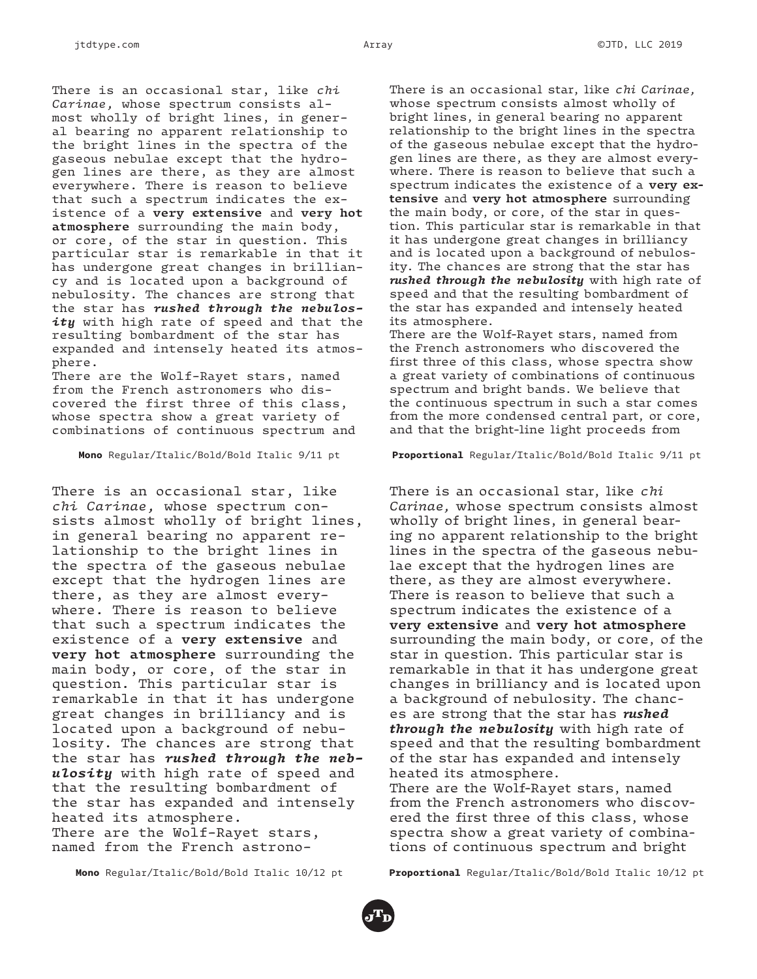There is an occasional star, like *chi Carinae,* whose spectrum consists almost wholly of bright lines, in general bearing no apparent relationship to the bright lines in the spectra of the gaseous nebulae except that the hydrogen lines are there, as they are almost everywhere. There is reason to believe that such a spectrum indicates the existence of a **very extensive** and **very hot atmosphere** surrounding the main body, or core, of the star in question. This particular star is remarkable in that it has undergone great changes in brilliancy and is located upon a background of nebulosity. The chances are strong that the star has *rushed through the nebulosity* with high rate of speed and that the resulting bombardment of the star has expanded and intensely heated its atmosphere.

There are the Wolf-Rayet stars, named from the French astronomers who discovered the first three of this class, whose spectra show a great variety of combinations of continuous spectrum and

**Mono** Regular/Italic/Bold/Bold Italic 9/11 pt

There is an occasional star, like *chi Carinae,* whose spectrum consists almost wholly of bright lines, in general bearing no apparent relationship to the bright lines in the spectra of the gaseous nebulae except that the hydrogen lines are there, as they are almost everywhere. There is reason to believe that such a spectrum indicates the existence of a **very extensive** and **very hot atmosphere** surrounding the main body, or core, of the star in question. This particular star is remarkable in that it has undergone great changes in brilliancy and is located upon a background of nebulosity. The chances are strong that the star has *rushed through the nebulosity* with high rate of speed and that the resulting bombardment of the star has expanded and intensely heated its atmosphere. There are the Wolf-Rayet stars,

named from the French astrono-

**Mono** Regular/Italic/Bold/Bold Italic 10/12 pt

There is an occasional star, like *chi Carinae,* whose spectrum consists almost wholly of bright lines, in general bearing no apparent relationship to the bright lines in the spectra of the gaseous nebulae except that the hydrogen lines are there, as they are almost everywhere. There is reason to believe that such a spectrum indicates the existence of a **very extensive** and **very hot atmosphere** surrounding the main body, or core, of the star in question. This particular star is remarkable in that it has undergone great changes in brilliancy and is located upon a background of nebulosity. The chances are strong that the star has *rushed through the nebulosity* with high rate of speed and that the resulting bombardment of the star has expanded and intensely heated its atmosphere.

There are the Wolf-Rayet stars, named from the French astronomers who discovered the first three of this class, whose spectra show a great variety of combinations of continuous spectrum and bright bands. We believe that the continuous spectrum in such a star comes from the more condensed central part, or core, and that the bright-line light proceeds from

#### **Proportional** Regular/Italic/Bold/Bold Italic 9/11 pt

There is an occasional star, like *chi Carinae,* whose spectrum consists almost wholly of bright lines, in general bearing no apparent relationship to the bright lines in the spectra of the gaseous nebulae except that the hydrogen lines are there, as they are almost everywhere. There is reason to believe that such a spectrum indicates the existence of a **very extensive** and **very hot atmosphere** surrounding the main body, or core, of the star in question. This particular star is remarkable in that it has undergone great changes in brilliancy and is located upon a background of nebulosity. The chances are strong that the star has *rushed through the nebulosity* with high rate of speed and that the resulting bombardment of the star has expanded and intensely heated its atmosphere. There are the Wolf-Rayet stars, named

from the French astronomers who discovered the first three of this class, whose spectra show a great variety of combinations of continuous spectrum and bright

**Proportional** Regular/Italic/Bold/Bold Italic 10/12 pt

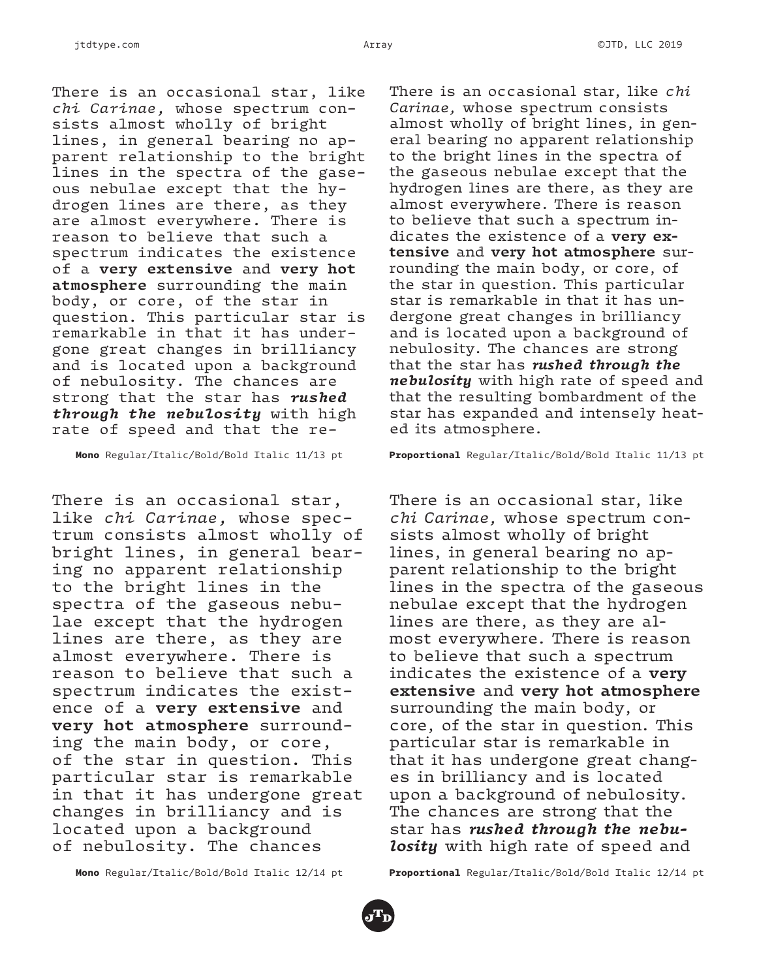There is an occasional star, like *chi Carinae,* whose spectrum consists almost wholly of bright lines, in general bearing no apparent relationship to the bright lines in the spectra of the gaseous nebulae except that the hydrogen lines are there, as they are almost everywhere. There is reason to believe that such a spectrum indicates the existence of a **very extensive** and **very hot atmosphere** surrounding the main body, or core, of the star in question. This particular star is remarkable in that it has undergone great changes in brilliancy and is located upon a background of nebulosity. The chances are strong that the star has *rushed through the nebulosity* with high rate of speed and that the re-

**Mono** Regular/Italic/Bold/Bold Italic 11/13 pt

There is an occasional star, like *chi Carinae,* whose spectrum consists almost wholly of bright lines, in general bearing no apparent relationship to the bright lines in the spectra of the gaseous nebulae except that the hydrogen lines are there, as they are almost everywhere. There is reason to believe that such a spectrum indicates the existence of a **very extensive** and **very hot atmosphere** surrounding the main body, or core, of the star in question. This particular star is remarkable in that it has undergone great changes in brilliancy and is located upon a background of nebulosity. The chances

There is an occasional star, like *chi Carinae,* whose spectrum consists almost wholly of bright lines, in general bearing no apparent relationship to the bright lines in the spectra of the gaseous nebulae except that the hydrogen lines are there, as they are almost everywhere. There is reason to believe that such a spectrum indicates the existence of a **very extensive** and **very hot atmosphere** surrounding the main body, or core, of the star in question. This particular star is remarkable in that it has undergone great changes in brilliancy and is located upon a background of nebulosity. The chances are strong that the star has *rushed through the nebulosity* with high rate of speed and that the resulting bombardment of the star has expanded and intensely heated its atmosphere.

**Proportional** Regular/Italic/Bold/Bold Italic 11/13 pt

There is an occasional star, like *chi Carinae,* whose spectrum consists almost wholly of bright lines, in general bearing no apparent relationship to the bright lines in the spectra of the gaseous nebulae except that the hydrogen lines are there, as they are almost everywhere. There is reason to believe that such a spectrum indicates the existence of a **very extensive** and **very hot atmosphere** surrounding the main body, or core, of the star in question. This particular star is remarkable in that it has undergone great changes in brilliancy and is located upon a background of nebulosity. The chances are strong that the star has *rushed through the nebulosity* with high rate of speed and

**Mono** Regular/Italic/Bold/Bold Italic 12/14 pt

**Proportional** Regular/Italic/Bold/Bold Italic 12/14 pt

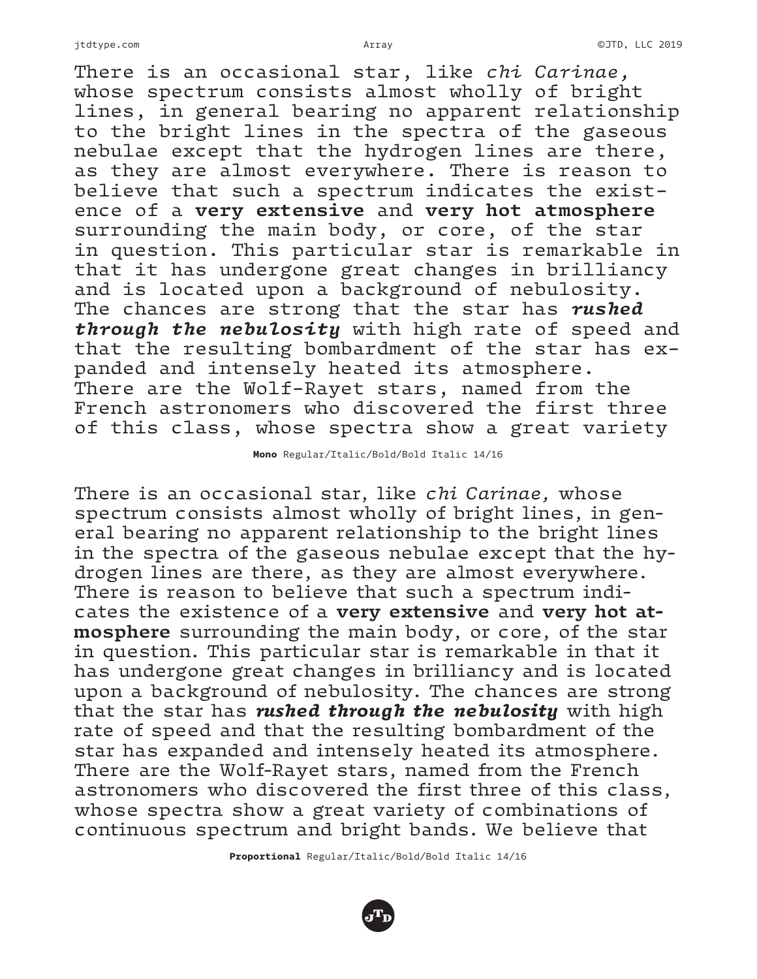There is an occasional star, like *chi Carinae,* whose spectrum consists almost wholly of bright lines, in general bearing no apparent relationship to the bright lines in the spectra of the gaseous nebulae except that the hydrogen lines are there, as they are almost everywhere. There is reason to believe that such a spectrum indicates the existence of a **very extensive** and **very hot atmosphere** surrounding the main body, or core, of the star in question. This particular star is remarkable in that it has undergone great changes in brilliancy and is located upon a background of nebulosity. The chances are strong that the star has *rushed through the nebulosity* with high rate of speed and that the resulting bombardment of the star has expanded and intensely heated its atmosphere. There are the Wolf-Rayet stars, named from the French astronomers who discovered the first three of this class, whose spectra show a great variety

**Mono** Regular/Italic/Bold/Bold Italic 14/16

There is an occasional star, like *chi Carinae,* whose spectrum consists almost wholly of bright lines, in general bearing no apparent relationship to the bright lines in the spectra of the gaseous nebulae except that the hydrogen lines are there, as they are almost everywhere. There is reason to believe that such a spectrum indicates the existence of a **very extensive** and **very hot atmosphere** surrounding the main body, or core, of the star in question. This particular star is remarkable in that it has undergone great changes in brilliancy and is located upon a background of nebulosity. The chances are strong that the star has *rushed through the nebulosity* with high rate of speed and that the resulting bombardment of the star has expanded and intensely heated its atmosphere. There are the Wolf-Rayet stars, named from the French astronomers who discovered the first three of this class, whose spectra show a great variety of combinations of continuous spectrum and bright bands. We believe that

**Proportional** Regular/Italic/Bold/Bold Italic 14/16